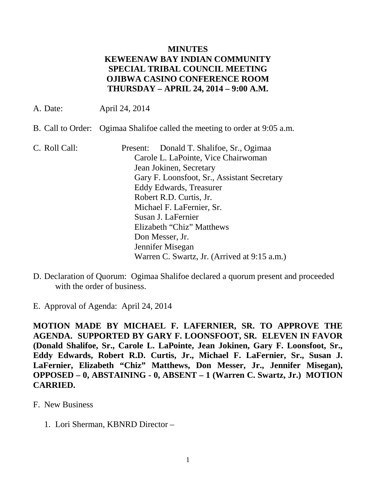## **MINUTES KEWEENAW BAY INDIAN COMMUNITY SPECIAL TRIBAL COUNCIL MEETING OJIBWA CASINO CONFERENCE ROOM THURSDAY – APRIL 24, 2014 – 9:00 A.M.**

- A. Date: April 24, 2014
- B. Call to Order: Ogimaa Shalifoe called the meeting to order at 9:05 a.m.
- C. Roll Call: Present: Donald T. Shalifoe, Sr., Ogimaa Carole L. LaPointe, Vice Chairwoman Jean Jokinen, Secretary Gary F. Loonsfoot, Sr., Assistant Secretary Eddy Edwards, Treasurer Robert R.D. Curtis, Jr. Michael F. LaFernier, Sr. Susan J. LaFernier Elizabeth "Chiz" Matthews Don Messer, Jr. Jennifer Misegan Warren C. Swartz, Jr. (Arrived at 9:15 a.m.)
- D. Declaration of Quorum: Ogimaa Shalifoe declared a quorum present and proceeded with the order of business.
- E. Approval of Agenda: April 24, 2014

**MOTION MADE BY MICHAEL F. LAFERNIER, SR. TO APPROVE THE AGENDA. SUPPORTED BY GARY F. LOONSFOOT, SR. ELEVEN IN FAVOR (Donald Shalifoe, Sr., Carole L. LaPointe, Jean Jokinen, Gary F. Loonsfoot, Sr., Eddy Edwards, Robert R.D. Curtis, Jr., Michael F. LaFernier, Sr., Susan J. LaFernier, Elizabeth "Chiz" Matthews, Don Messer, Jr., Jennifer Misegan), OPPOSED – 0, ABSTAINING - 0, ABSENT – 1 (Warren C. Swartz, Jr.) MOTION CARRIED.**

- F. New Business
	- 1. Lori Sherman, KBNRD Director –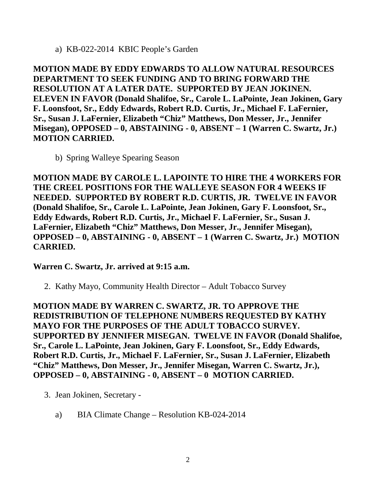a) KB-022-2014 KBIC People's Garden

**MOTION MADE BY EDDY EDWARDS TO ALLOW NATURAL RESOURCES DEPARTMENT TO SEEK FUNDING AND TO BRING FORWARD THE RESOLUTION AT A LATER DATE. SUPPORTED BY JEAN JOKINEN. ELEVEN IN FAVOR (Donald Shalifoe, Sr., Carole L. LaPointe, Jean Jokinen, Gary F. Loonsfoot, Sr., Eddy Edwards, Robert R.D. Curtis, Jr., Michael F. LaFernier, Sr., Susan J. LaFernier, Elizabeth "Chiz" Matthews, Don Messer, Jr., Jennifer Misegan), OPPOSED – 0, ABSTAINING - 0, ABSENT – 1 (Warren C. Swartz, Jr.) MOTION CARRIED.**

b) Spring Walleye Spearing Season

**MOTION MADE BY CAROLE L. LAPOINTE TO HIRE THE 4 WORKERS FOR THE CREEL POSITIONS FOR THE WALLEYE SEASON FOR 4 WEEKS IF NEEDED. SUPPORTED BY ROBERT R.D. CURTIS, JR. TWELVE IN FAVOR (Donald Shalifoe, Sr., Carole L. LaPointe, Jean Jokinen, Gary F. Loonsfoot, Sr., Eddy Edwards, Robert R.D. Curtis, Jr., Michael F. LaFernier, Sr., Susan J. LaFernier, Elizabeth "Chiz" Matthews, Don Messer, Jr., Jennifer Misegan), OPPOSED – 0, ABSTAINING - 0, ABSENT – 1 (Warren C. Swartz, Jr.) MOTION CARRIED.**

**Warren C. Swartz, Jr. arrived at 9:15 a.m.**

2. Kathy Mayo, Community Health Director – Adult Tobacco Survey

**MOTION MADE BY WARREN C. SWARTZ, JR. TO APPROVE THE REDISTRIBUTION OF TELEPHONE NUMBERS REQUESTED BY KATHY MAYO FOR THE PURPOSES OF THE ADULT TOBACCO SURVEY. SUPPORTED BY JENNIFER MISEGAN. TWELVE IN FAVOR (Donald Shalifoe, Sr., Carole L. LaPointe, Jean Jokinen, Gary F. Loonsfoot, Sr., Eddy Edwards, Robert R.D. Curtis, Jr., Michael F. LaFernier, Sr., Susan J. LaFernier, Elizabeth "Chiz" Matthews, Don Messer, Jr., Jennifer Misegan, Warren C. Swartz, Jr.), OPPOSED – 0, ABSTAINING - 0, ABSENT – 0 MOTION CARRIED.**

- 3. Jean Jokinen, Secretary
	- a) BIA Climate Change Resolution KB-024-2014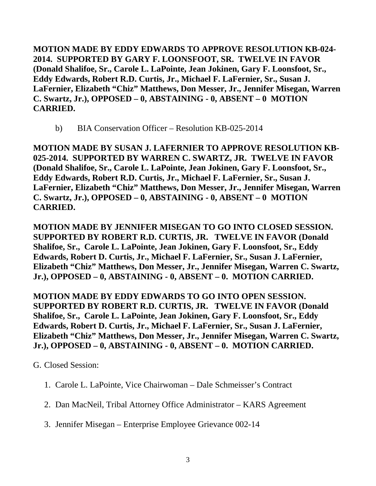**MOTION MADE BY EDDY EDWARDS TO APPROVE RESOLUTION KB-024- 2014. SUPPORTED BY GARY F. LOONSFOOT, SR. TWELVE IN FAVOR (Donald Shalifoe, Sr., Carole L. LaPointe, Jean Jokinen, Gary F. Loonsfoot, Sr., Eddy Edwards, Robert R.D. Curtis, Jr., Michael F. LaFernier, Sr., Susan J. LaFernier, Elizabeth "Chiz" Matthews, Don Messer, Jr., Jennifer Misegan, Warren C. Swartz, Jr.), OPPOSED – 0, ABSTAINING - 0, ABSENT – 0 MOTION CARRIED.**

b) BIA Conservation Officer – Resolution KB-025-2014

**MOTION MADE BY SUSAN J. LAFERNIER TO APPROVE RESOLUTION KB-025-2014. SUPPORTED BY WARREN C. SWARTZ, JR. TWELVE IN FAVOR (Donald Shalifoe, Sr., Carole L. LaPointe, Jean Jokinen, Gary F. Loonsfoot, Sr., Eddy Edwards, Robert R.D. Curtis, Jr., Michael F. LaFernier, Sr., Susan J. LaFernier, Elizabeth "Chiz" Matthews, Don Messer, Jr., Jennifer Misegan, Warren C. Swartz, Jr.), OPPOSED – 0, ABSTAINING - 0, ABSENT – 0 MOTION CARRIED.**

**MOTION MADE BY JENNIFER MISEGAN TO GO INTO CLOSED SESSION. SUPPORTED BY ROBERT R.D. CURTIS, JR. TWELVE IN FAVOR (Donald Shalifoe, Sr., Carole L. LaPointe, Jean Jokinen, Gary F. Loonsfoot, Sr., Eddy Edwards, Robert D. Curtis, Jr., Michael F. LaFernier, Sr., Susan J. LaFernier, Elizabeth "Chiz" Matthews, Don Messer, Jr., Jennifer Misegan, Warren C. Swartz, Jr.), OPPOSED – 0, ABSTAINING - 0, ABSENT – 0. MOTION CARRIED.**

**MOTION MADE BY EDDY EDWARDS TO GO INTO OPEN SESSION. SUPPORTED BY ROBERT R.D. CURTIS, JR. TWELVE IN FAVOR (Donald Shalifoe, Sr., Carole L. LaPointe, Jean Jokinen, Gary F. Loonsfoot, Sr., Eddy Edwards, Robert D. Curtis, Jr., Michael F. LaFernier, Sr., Susan J. LaFernier, Elizabeth "Chiz" Matthews, Don Messer, Jr., Jennifer Misegan, Warren C. Swartz, Jr.), OPPOSED – 0, ABSTAINING - 0, ABSENT – 0. MOTION CARRIED.**

G. Closed Session:

- 1. Carole L. LaPointe, Vice Chairwoman Dale Schmeisser's Contract
- 2. Dan MacNeil, Tribal Attorney Office Administrator KARS Agreement
- 3. Jennifer Misegan Enterprise Employee Grievance 002-14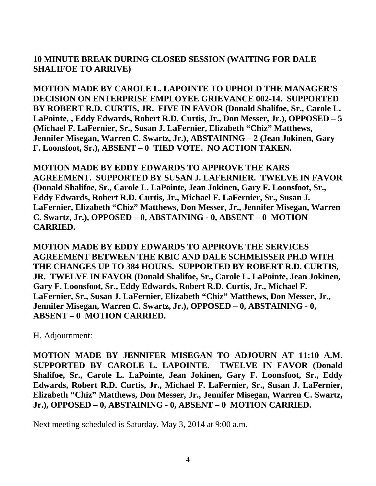## **10 MINUTE BREAK DURING CLOSED SESSION (WAITING FOR DALE SHALIFOE TO ARRIVE)**

**MOTION MADE BY CAROLE L. LAPOINTE TO UPHOLD THE MANAGER'S DECISION ON ENTERPRISE EMPLOYEE GRIEVANCE 002-14. SUPPORTED BY ROBERT R.D. CURTIS, JR. FIVE IN FAVOR (Donald Shalifoe, Sr., Carole L. LaPointe, , Eddy Edwards, Robert R.D. Curtis, Jr., Don Messer, Jr.), OPPOSED – 5 (Michael F. LaFernier, Sr., Susan J. LaFernier, Elizabeth "Chiz" Matthews, Jennifer Misegan, Warren C. Swartz, Jr.), ABSTAINING – 2 (Jean Jokinen, Gary F. Loonsfoot, Sr.), ABSENT – 0 TIED VOTE. NO ACTION TAKEN.**

**MOTION MADE BY EDDY EDWARDS TO APPROVE THE KARS AGREEMENT. SUPPORTED BY SUSAN J. LAFERNIER. TWELVE IN FAVOR (Donald Shalifoe, Sr., Carole L. LaPointe, Jean Jokinen, Gary F. Loonsfoot, Sr., Eddy Edwards, Robert R.D. Curtis, Jr., Michael F. LaFernier, Sr., Susan J. LaFernier, Elizabeth "Chiz" Matthews, Don Messer, Jr., Jennifer Misegan, Warren C. Swartz, Jr.), OPPOSED – 0, ABSTAINING - 0, ABSENT – 0 MOTION CARRIED.**

**MOTION MADE BY EDDY EDWARDS TO APPROVE THE SERVICES AGREEMENT BETWEEN THE KBIC AND DALE SCHMEISSER PH.D WITH THE CHANGES UP TO 384 HOURS. SUPPORTED BY ROBERT R.D. CURTIS, JR. TWELVE IN FAVOR (Donald Shalifoe, Sr., Carole L. LaPointe, Jean Jokinen, Gary F. Loonsfoot, Sr., Eddy Edwards, Robert R.D. Curtis, Jr., Michael F. LaFernier, Sr., Susan J. LaFernier, Elizabeth "Chiz" Matthews, Don Messer, Jr., Jennifer Misegan, Warren C. Swartz, Jr.), OPPOSED – 0, ABSTAINING - 0, ABSENT – 0 MOTION CARRIED.**

H. Adjournment:

**MOTION MADE BY JENNIFER MISEGAN TO ADJOURN AT 11:10 A.M. SUPPORTED BY CAROLE L. LAPOINTE. TWELVE IN FAVOR (Donald Shalifoe, Sr., Carole L. LaPointe, Jean Jokinen, Gary F. Loonsfoot, Sr., Eddy Edwards, Robert R.D. Curtis, Jr., Michael F. LaFernier, Sr., Susan J. LaFernier, Elizabeth "Chiz" Matthews, Don Messer, Jr., Jennifer Misegan, Warren C. Swartz, Jr.), OPPOSED – 0, ABSTAINING - 0, ABSENT – 0 MOTION CARRIED.**

Next meeting scheduled is Saturday, May 3, 2014 at 9:00 a.m.